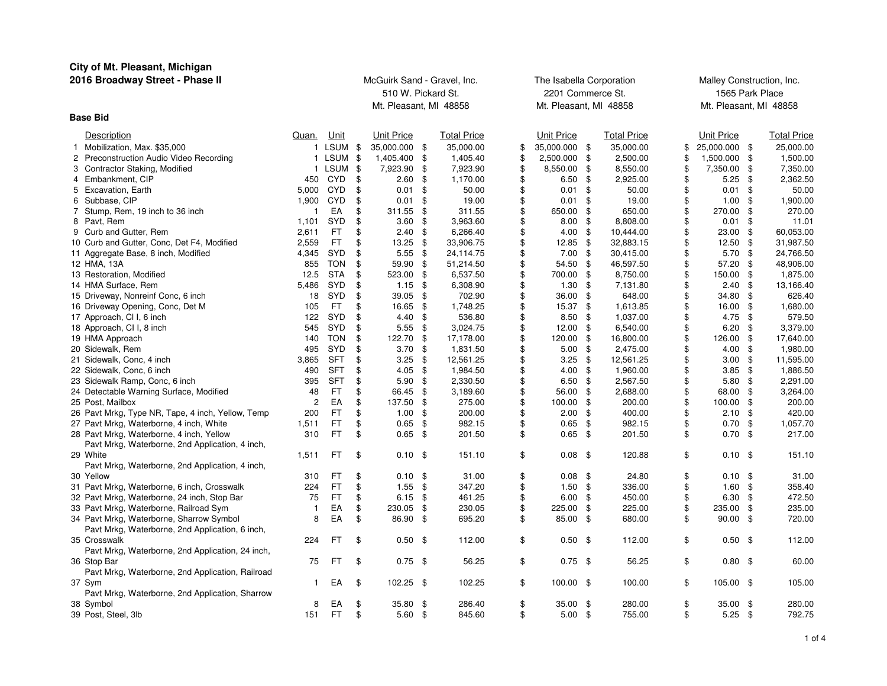| City of Mt. Pleasant, Michigan                               |                |            |                             |      |                    |                          |     |                           |                          |      |                    |  |
|--------------------------------------------------------------|----------------|------------|-----------------------------|------|--------------------|--------------------------|-----|---------------------------|--------------------------|------|--------------------|--|
| 2016 Broadway Street - Phase II                              |                |            | McGuirk Sand - Gravel, Inc. |      |                    | The Isabella Corporation |     | Malley Construction, Inc. |                          |      |                    |  |
|                                                              |                |            | 510 W. Pickard St.          |      |                    | 2201 Commerce St.        |     |                           | 1565 Park Place          |      |                    |  |
|                                                              |                |            | Mt. Pleasant, MI 48858      |      |                    | Mt. Pleasant, MI 48858   |     |                           | Mt. Pleasant, MI 48858   |      |                    |  |
| <b>Base Bid</b>                                              |                |            |                             |      |                    |                          |     |                           |                          |      |                    |  |
| Description                                                  | Quan. Unit     |            | Unit Price                  |      | <b>Total Price</b> | <b>Unit Price</b>        |     | <b>Total Price</b>        | <b>Unit Price</b>        |      | <b>Total Price</b> |  |
| 1 Mobilization, Max. \$35,000                                |                | 1 LSUM     | \$<br>35,000.000 \$         |      | 35,000.00          | \$<br>35,000.000         | -\$ | 35,000.00                 | \$<br>25,000.000         | \$   | 25,000.00          |  |
| 2<br>Preconstruction Audio Video Recording                   |                | 1 LSUM     | \$<br>1,405.400             | \$   | 1,405.40           | \$<br>2,500.000          | \$  | 2,500.00                  | \$<br>1,500.000          | -\$  | 1,500.00           |  |
| 3 Contractor Staking, Modified                               |                | 1 LSUM     | \$<br>7,923.90 \$           |      | 7,923.90           | \$<br>8,550.00           | \$  | 8,550.00                  | \$<br>7,350.00           | - \$ | 7,350.00           |  |
| 4 Embankment, CIP                                            | 450            | CYD        | \$<br>2.60                  | \$   | 1,170.00           | \$<br>6.50               | \$  | 2,925.00                  | \$<br>5.25               | \$   | 2,362.50           |  |
| 5 Excavation, Earth                                          | 5,000          | CYD        | \$<br>0.01                  | \$   | 50.00              | \$<br>0.01               | \$  | 50.00                     | \$<br>0.01               | \$   | 50.00              |  |
| 6 Subbase, CIP                                               | 1,900          | CYD        | \$<br>0.01                  | \$   | 19.00              | \$<br>0.01               | \$  | 19.00                     | \$<br>1.00               | \$   | 1,900.00           |  |
| 7 Stump, Rem, 19 inch to 36 inch                             | $\mathbf{1}$   | EA         | \$<br>311.55                | \$   | 311.55             | \$<br>650.00             | \$  | 650.00                    | \$<br>270.00             | \$   | 270.00             |  |
| 8 Pavt, Rem                                                  | 1,101          | SYD        | \$<br>$3.60$ \$             |      | 3,963.60           | \$<br>8.00               | \$  | 8,808.00                  | \$<br>0.01               | \$   | 11.01              |  |
| 9 Curb and Gutter, Rem                                       | 2,611          | FT         | \$<br>2.40                  | -\$  | 6,266.40           | \$<br>4.00               | \$  | 10,444.00                 | \$<br>23.00              | \$   | 60,053.00          |  |
| 10 Curb and Gutter, Conc, Det F4, Modified                   | 2,559          | FT         | \$<br>13.25                 | - \$ | 33,906.75          | \$<br>12.85              | \$  | 32,883.15                 | \$<br>12.50              | \$   | 31,987.50          |  |
| 11 Aggregate Base, 8 inch, Modified                          | 4,345          | SYD        | \$<br>5.55                  | \$   | 24,114.75          | \$<br>7.00               | \$  | 30,415.00                 | \$<br>5.70               | \$   | 24,766.50          |  |
| 12 HMA, 13A                                                  | 855            | <b>TON</b> | \$<br>59.90 \$              |      | 51,214.50          | \$<br>54.50              | \$  | 46,597.50                 | \$<br>57.20              | \$   | 48,906.00          |  |
| 13 Restoration, Modified                                     | 12.5           | <b>STA</b> | \$<br>523.00                | -\$  | 6,537.50           | \$<br>700.00             | \$  | 8,750.00                  | \$<br>150.00             | \$   | 1,875.00           |  |
| 14 HMA Surface, Rem                                          | 5,486          | SYD        | \$<br>1.15                  | - \$ | 6,308.90           | \$<br>1.30               | \$  | 7,131.80                  | \$<br>2.40               | \$   | 13,166.40          |  |
| 15 Driveway, Nonreinf Conc, 6 inch                           | 18             | <b>SYD</b> | \$<br>39.05                 | - \$ | 702.90             | \$<br>36.00              | \$  | 648.00                    | \$<br>34.80              | \$   | 626.40             |  |
| 16 Driveway Opening, Conc, Det M                             | 105            | FT.        | \$<br>16.65                 | \$   | 1,748.25           | \$<br>15.37              | \$  | 1,613.85                  | \$<br>16.00              | \$   | 1,680.00           |  |
| 17 Approach, CI I, 6 inch                                    | 122            | <b>SYD</b> | \$<br>$4.40*$               |      | 536.80             | \$<br>8.50               | \$  | 1,037.00                  | \$<br>4.75               | -\$  | 579.50             |  |
| 18 Approach, CI I, 8 inch                                    | 545            | <b>SYD</b> | \$<br>5.55                  | - \$ | 3,024.75           | \$<br>12.00              | \$  | 6,540.00                  | \$<br>6.20               | \$   | 3,379.00           |  |
| 19 HMA Approach                                              | 140            | <b>TON</b> | \$<br>122.70                | \$   | 17,178.00          | \$<br>120.00             | \$  | 16,800.00                 | \$<br>126.00             | \$   | 17,640.00          |  |
| 20 Sidewalk, Rem                                             | 495            | <b>SYD</b> | \$<br>$3.70$ \$             |      | 1,831.50           | \$<br>5.00               | \$  | 2,475.00                  | \$<br>4.00               | -\$  | 1,980.00           |  |
| 21 Sidewalk, Conc, 4 inch                                    | 3,865          | <b>SFT</b> | \$<br>3.25                  | \$   | 12,561.25          | \$<br>3.25               | \$  | 12,561.25                 | \$<br>3.00               | \$   | 11,595.00          |  |
| 22 Sidewalk, Conc, 6 inch                                    | 490            | <b>SFT</b> | \$<br>4.05                  | - \$ | 1,984.50           | \$<br>4.00               | \$  | 1,960.00                  | \$<br>3.85               | -\$  | 1,886.50           |  |
| 23 Sidewalk Ramp, Conc, 6 inch                               | 395            | <b>SFT</b> | \$<br>5.90                  | \$   | 2,330.50           | \$<br>6.50               | \$  | 2,567.50                  | \$<br>5.80               | \$   | 2,291.00           |  |
| 24 Detectable Warning Surface, Modified                      | 48             | FT         | \$<br>66.45                 | - \$ | 3,189.60           | \$<br>56.00              | \$  | 2,688.00                  | \$<br>68.00              | \$   | 3,264.00           |  |
| 25 Post, Mailbox                                             | $\overline{c}$ | EA         | \$<br>137.50                | \$   | 275.00             | \$<br>100.00             | \$  | 200.00                    | \$<br>100.00             | \$   | 200.00             |  |
| 26 Pavt Mrkg, Type NR, Tape, 4 inch, Yellow, Temp            | 200            | FT         | \$<br>1.00                  | \$   | 200.00             | \$<br>2.00               | \$  | 400.00                    | \$<br>2.10               | \$   | 420.00             |  |
| 27 Pavt Mrkg, Waterborne, 4 inch, White                      | 1,511          | FT         | \$<br>0.65                  | - \$ | 982.15             | \$<br>0.65               | \$  | 982.15                    | \$<br>0.70               | \$   | 1,057.70           |  |
| 28 Pavt Mrkg, Waterborne, 4 inch, Yellow                     | 310            | FT         | \$<br>$0.65$ \$             |      | 201.50             | \$<br>$0.65$ \$          |     | 201.50                    | \$<br>0.70               | \$   | 217.00             |  |
| Pavt Mrkg, Waterborne, 2nd Application, 4 inch,              |                |            |                             |      |                    |                          |     |                           |                          |      |                    |  |
| 29 White                                                     | 1,511          | FT         | \$<br>$0.10$ \$             |      | 151.10             | \$<br>$0.08$ \$          |     | 120.88                    | \$<br>$0.10 \text{ }$ \$ |      | 151.10             |  |
| Pavt Mrkg, Waterborne, 2nd Application, 4 inch,<br>30 Yellow | 310            | FT         | \$<br>$0.10$ \$             |      | 31.00              | \$<br>0.08               | \$  | 24.80                     | \$<br>$0.10$ \$          |      | 31.00              |  |
| 31 Pavt Mrkg, Waterborne, 6 inch, Crosswalk                  | 224            | FT         | \$<br>1.55                  | \$   | 347.20             | \$<br>1.50               | \$  | 336.00                    | \$<br>1.60               | \$   | 358.40             |  |
| 32 Pavt Mrkg, Waterborne, 24 inch, Stop Bar                  | 75             | FT.        | \$<br>6.15                  | - \$ | 461.25             | \$<br>6.00               | \$  | 450.00                    | \$<br>6.30               | \$   | 472.50             |  |
| 33 Pavt Mrkg, Waterborne, Railroad Sym                       | $\overline{1}$ | EA         | \$<br>230.05                | \$   | 230.05             | \$<br>225.00             | \$  | 225.00                    | \$<br>235.00             | \$   | 235.00             |  |
| 34 Pavt Mrkg, Waterborne, Sharrow Symbol                     | 8              | EA         | \$<br>86.90 \$              |      | 695.20             | \$<br>85.00              | \$  | 680.00                    | \$<br>90.00              | \$   | 720.00             |  |
| Pavt Mrkg, Waterborne, 2nd Application, 6 inch,              |                |            |                             |      |                    |                          |     |                           |                          |      |                    |  |
| 35 Crosswalk                                                 | 224            | FТ         | \$<br>$0.50$ \$             |      | 112.00             | \$<br>0.50               | \$  | 112.00                    | \$<br>0.50               | - \$ | 112.00             |  |
| Pavt Mrkg, Waterborne, 2nd Application, 24 inch,             |                |            |                             |      |                    |                          |     |                           |                          |      |                    |  |
| 36 Stop Bar                                                  | 75             | FT         | \$<br>$0.75$ \$             |      | 56.25              | \$<br>$0.75$ \$          |     | 56.25                     | \$<br>$0.80$ \$          |      | 60.00              |  |
| Pavt Mrkg, Waterborne, 2nd Application, Railroad             |                |            |                             |      |                    |                          |     |                           |                          |      |                    |  |
| 37 Sym                                                       | $\mathbf{1}$   | EA         | \$<br>102.25 \$             |      | 102.25             | \$<br>100.00             | \$  | 100.00                    | \$<br>105.00 \$          |      | 105.00             |  |
| Pavt Mrkg, Waterborne, 2nd Application, Sharrow              |                |            |                             |      |                    |                          |     |                           |                          |      |                    |  |
| 38 Symbol                                                    | 8              | EA         | \$<br>35.80 \$              |      | 286.40             | \$<br>35.00              | -\$ | 280.00                    | \$<br>35.00              | -\$  | 280.00             |  |
| 39 Post, Steel, 3lb                                          | 151            | FT.        | \$<br>$5.60$ \$             |      | 845.60             | \$<br>$5.00$ \$          |     | 755.00                    | \$<br>$5.25$ \$          |      | 792.75             |  |
|                                                              |                |            |                             |      |                    |                          |     |                           |                          |      |                    |  |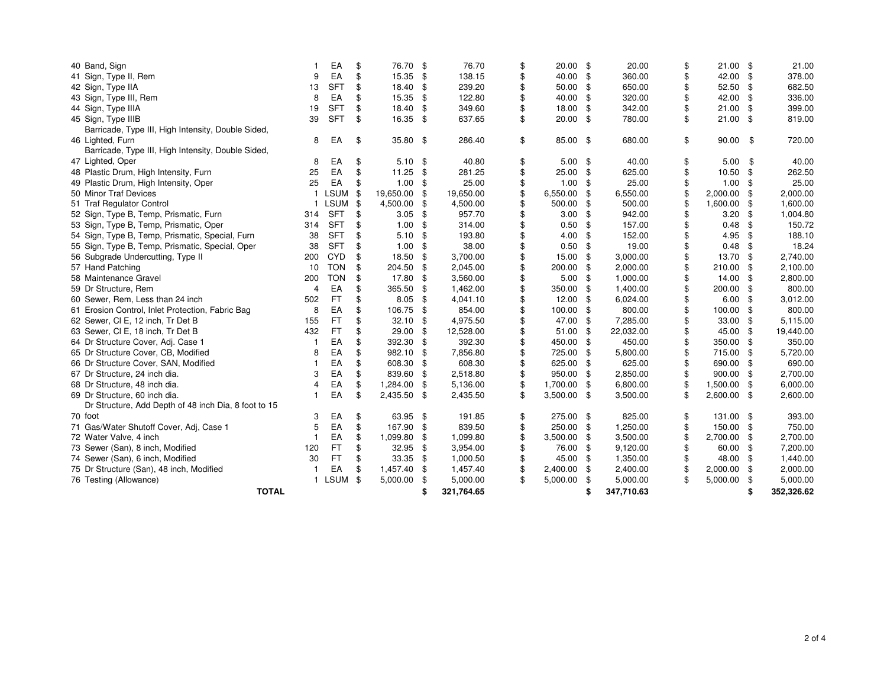| 40 Band, Sign                                        |                | EA         | \$  | 76.70      | -\$  | 76.70      | \$<br>$20.00$ \$    |     | 20.00      | \$<br>$21.00$ \$  |     | 21.00      |
|------------------------------------------------------|----------------|------------|-----|------------|------|------------|---------------------|-----|------------|-------------------|-----|------------|
| 41 Sign, Type II, Rem                                | 9              | EA         | \$  | 15.35 \$   |      | 138.15     | \$<br>40.00 \$      |     | 360.00     | \$<br>42.00 \$    |     | 378.00     |
| 42 Sign, Type IIA                                    | 13             | <b>SFT</b> | \$  | 18.40 \$   |      | 239.20     | \$<br>$50.00$ \$    |     | 650.00     | \$<br>52.50       | \$  | 682.50     |
| 43 Sign, Type III, Rem                               | 8              | EA         | \$  | 15.35      | \$   | 122.80     | \$<br>40.00         | \$  | 320.00     | \$<br>42.00       | \$  | 336.00     |
| 44 Sign, Type IIIA                                   | 19             | <b>SFT</b> | \$  | 18.40      | \$   | 349.60     | \$<br>18.00         | -\$ | 342.00     | \$<br>21.00       | \$  | 399.00     |
| 45 Sign, Type IIIB                                   | 39             | <b>SFT</b> | \$  | 16.35 \$   |      | 637.65     | \$<br>$20.00$ \$    |     | 780.00     | \$<br>$21.00$ \$  |     | 819.00     |
| Barricade, Type III, High Intensity, Double Sided,   |                |            |     |            |      |            |                     |     |            |                   |     |            |
| 46 Lighted, Furn                                     | 8              | EA         | \$  | 35.80 \$   |      | 286.40     | \$<br>85.00 \$      |     | 680.00     | \$<br>90.00       | \$  | 720.00     |
| Barricade, Type III, High Intensity, Double Sided,   |                |            |     |            |      |            |                     |     |            |                   |     |            |
| 47 Lighted, Oper                                     | 8              | EA         | \$  | $5.10$ \$  |      | 40.80      | \$<br>$5.00$ \$     |     | 40.00      | \$<br>5.00        | \$  | 40.00      |
| 48 Plastic Drum, High Intensity, Furn                | 25             | EA         | \$  | $11.25$ \$ |      | 281.25     | \$<br>$25.00$ \$    |     | 625.00     | \$<br>10.50       | \$  | 262.50     |
| 49 Plastic Drum, High Intensity, Oper                | 25             | EA         | \$  | 1.00       | \$   | 25.00      | \$<br>$1.00$ \$     |     | 25.00      | \$<br>1.00        | \$  | 25.00      |
| 50 Minor Traf Devices                                | $\mathbf{1}$   | LSUM \$    |     | 19,650.00  | \$   | 19,650.00  | \$<br>6,550.00      | \$  | 6,550.00   | 2,000.00          | \$  | 2,000.00   |
| 51 Traf Regulator Control                            | $\mathbf{1}$   | LSUM       | \$  | 4,500.00   | \$   | 4,500.00   | 500.00              | \$  | 500.00     | \$<br>1,600.00    | \$  | 1,600.00   |
| 52 Sign, Type B, Temp, Prismatic, Furn               | 314            | <b>SFT</b> | \$  | 3.05       | \$   | 957.70     | \$<br>3.00          | \$  | 942.00     | \$<br>3.20        | \$  | 1,004.80   |
| 53 Sign, Type B, Temp, Prismatic, Oper               | 314            | <b>SFT</b> | \$  | 1.00       | \$   | 314.00     | \$<br>$0.50$ \$     |     | 157.00     | \$<br>0.48        | \$  | 150.72     |
| 54 Sign, Type B, Temp, Prismatic, Special, Furn      | 38             | <b>SFT</b> |     | 5.10       | \$   | 193.80     | \$<br>4.00          | \$  | 152.00     | \$<br>4.95        | \$  | 188.10     |
| 55 Sign, Type B, Temp, Prismatic, Special, Oper      | 38             | <b>SFT</b> |     | 1.00       | \$   | 38.00      | \$<br>0.50          | \$  | 19.00      | \$<br>0.48        | \$  | 18.24      |
| 56 Subgrade Undercutting, Type II                    | 200            | <b>CYD</b> | \$  | 18.50      | \$   | 3,700.00   | 15.00               | \$  | 3,000.00   | \$<br>13.70       | \$  | 2,740.00   |
| 57 Hand Patching                                     | 10             | <b>TON</b> | \$. | 204.50     | \$   | 2,045.00   | 200.00              | \$  | 2,000.00   | \$<br>210.00      | -\$ | 2,100.00   |
| 58 Maintenance Gravel                                | 200            | <b>TON</b> | \$  | 17.80      | \$   | 3,560.00   | \$<br>$5.00$ \$     |     | 1,000.00   | \$<br>14.00       | \$  | 2,800.00   |
| 59 Dr Structure, Rem                                 | $\overline{4}$ | EA         | \$  | 365.50     | \$   | 1,462.00   | \$<br>350.00 \$     |     | 1,400.00   | \$<br>200.00      | \$  | 800.00     |
| 60 Sewer, Rem, Less than 24 inch                     | 502            | <b>FT</b>  | \$  | 8.05       | \$   | 4,041.10   | $12.00$ \$          |     | 6,024.00   | \$<br>6.00        | \$  | 3,012.00   |
| 61 Erosion Control, Inlet Protection, Fabric Bag     | 8              | EA         | \$  | 106.75 \$  |      | 854.00     | \$<br>100.00        | \$  | 800.00     | \$<br>100.00      | \$  | 800.00     |
| 62 Sewer, CI E, 12 inch, Tr Det B                    | 155            | <b>FT</b>  | \$  | 32.10      | \$   | 4,975.50   | \$<br>47.00 \$      |     | 7,285.00   | \$<br>33.00       | \$  | 5,115.00   |
| 63 Sewer, CI E, 18 inch, Tr Det B                    | 432            | <b>FT</b>  | \$  | 29.00      | \$   | 12,528.00  | \$<br>$51.00$ \$    |     | 22,032.00  | \$<br>45.00       | \$  | 19,440.00  |
| 64 Dr Structure Cover, Adj. Case 1                   |                | EA         | \$  | 392.30     | \$   | 392.30     | \$<br>450.00 \$     |     | 450.00     | \$<br>350.00      | \$  | 350.00     |
| 65 Dr Structure Cover, CB, Modified                  | 8              | EA         | \$  | 982.10     | \$   | 7,856.80   | 725.00 \$           |     | 5,800.00   | \$<br>715.00      | \$  | 5,720.00   |
| 66 Dr Structure Cover, SAN, Modified                 |                | EA         | \$  | 608.30 \$  |      | 608.30     | \$<br>625.00 \$     |     | 625.00     | \$<br>690.00      | \$  | 690.00     |
| 67 Dr Structure, 24 inch dia.                        | 3              | EA         | \$  | 839.60 \$  |      | 2,518.80   | \$<br>950.00 \$     |     | 2,850.00   | \$<br>900.00      | \$  | 2,700.00   |
| 68 Dr Structure, 48 inch dia.                        | 4              | EA         | \$  | 1,284.00   | \$   | 5,136.00   | \$<br>1,700.00 \$   |     | 6,800.00   | \$<br>1,500.00    | \$  | 6,000.00   |
| 69 Dr Structure, 60 inch dia.                        |                | EA         | \$  | 2,435.50   | - \$ | 2,435.50   | \$<br>$3,500.00$ \$ |     | 3,500.00   | \$<br>2,600.00 \$ |     | 2,600.00   |
| Dr Structure, Add Depth of 48 inch Dia, 8 foot to 15 |                |            |     |            |      |            |                     |     |            |                   |     |            |
| 70 foot                                              | 3              | EA         | \$  | 63.95 \$   |      | 191.85     | \$<br>275.00 \$     |     | 825.00     | \$<br>131.00      | \$  | 393.00     |
| 71 Gas/Water Shutoff Cover, Adj, Case 1              |                | EA         | \$  | 167.90     | -\$  | 839.50     | \$<br>250.00 \$     |     | 1,250.00   | \$<br>150.00      | \$  | 750.00     |
| 72 Water Valve, 4 inch                               |                | EA         | \$  | 1,099.80   | \$   | 1,099.80   | \$<br>3,500.00 \$   |     | 3,500.00   | \$<br>2,700.00    | \$  | 2,700.00   |
| 73 Sewer (San), 8 inch, Modified                     | 120            | <b>FT</b>  | \$  | $32.95$ \$ |      | 3,954.00   | \$<br>76.00 \$      |     | 9,120.00   | \$<br>60.00       | \$  | 7,200.00   |
| 74 Sewer (San), 6 inch, Modified                     | 30             | <b>FT</b>  | \$  | 33.35      | - \$ | 1,000.50   | \$<br>45.00         | -\$ | 1,350.00   | \$<br>48.00       | \$  | 1,440.00   |
| 75 Dr Structure (San), 48 inch, Modified             |                | EA         | \$  | 1,457.40   | \$   | 1,457.40   | \$<br>2,400.00      | \$  | 2,400.00   | 2,000.00          | \$  | 2,000.00   |
| 76 Testing (Allowance)                               |                | 1 LSUM \$  |     | 5,000.00   | \$   | 5,000.00   | \$<br>5,000.00 \$   |     | 5,000.00   | \$<br>5,000.00    | \$  | 5,000.00   |
| <b>TOTAL</b>                                         |                |            |     |            | \$   | 321,764.65 |                     |     | 347,710.63 |                   | \$  | 352,326.62 |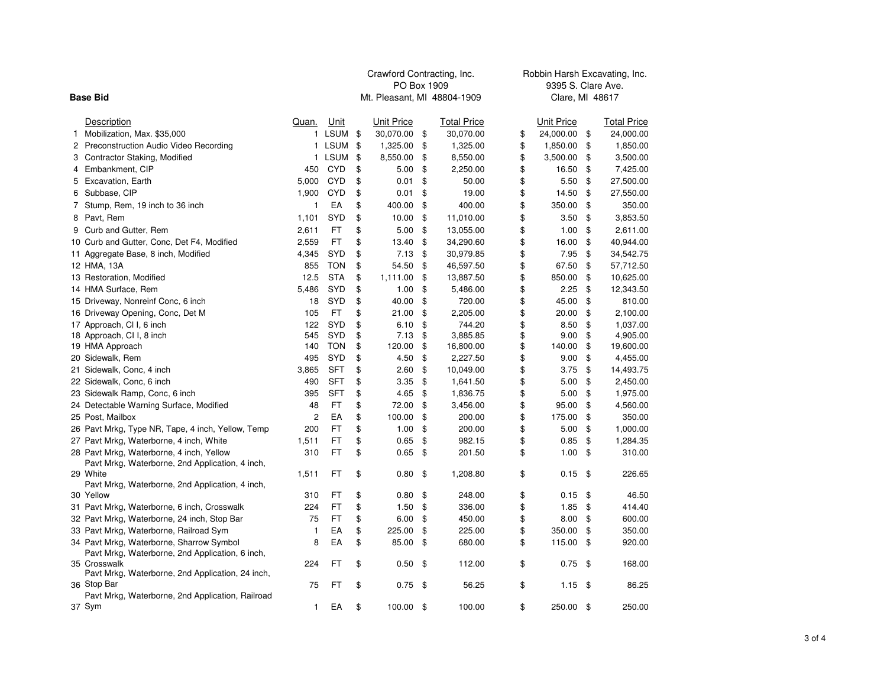|    |                                                                  |                |             | Crawford Contracting, Inc.  |                    | Robbin Harsh Excavating, Inc. |                 |                    |  |  |  |  |
|----|------------------------------------------------------------------|----------------|-------------|-----------------------------|--------------------|-------------------------------|-----------------|--------------------|--|--|--|--|
|    |                                                                  |                |             | PO Box 1909                 |                    |                               |                 | 9395 S. Clare Ave. |  |  |  |  |
|    | <b>Base Bid</b>                                                  |                |             | Mt. Pleasant, MI 48804-1909 |                    |                               | Clare, MI 48617 |                    |  |  |  |  |
|    | Description                                                      | Quan.          | Unit        | Unit Price                  | <b>Total Price</b> | Unit Price                    |                 | <b>Total Price</b> |  |  |  |  |
| 1. | Mobilization, Max. \$35,000                                      | 1              | <b>LSUM</b> | \$<br>30,070.00             | \$<br>30,070.00    | \$<br>24,000.00               | \$              | 24,000.00          |  |  |  |  |
|    | 2 Preconstruction Audio Video Recording                          |                | 1 LSUM      | \$<br>1,325.00              | \$<br>1,325.00     | \$<br>1,850.00                | \$              | 1,850.00           |  |  |  |  |
|    | 3 Contractor Staking, Modified                                   |                | 1 LSUM      | \$<br>8,550.00              | \$<br>8,550.00     | \$<br>3,500.00                | \$              | 3,500.00           |  |  |  |  |
|    | 4 Embankment, CIP                                                | 450            | <b>CYD</b>  | \$<br>5.00                  | \$<br>2,250.00     | \$<br>16.50                   | \$              | 7,425.00           |  |  |  |  |
|    | 5 Excavation, Earth                                              | 5,000          | <b>CYD</b>  | \$<br>0.01                  | \$<br>50.00        | \$<br>5.50                    | \$              | 27,500.00          |  |  |  |  |
| 6  | Subbase, CIP                                                     | 1,900          | <b>CYD</b>  | \$<br>0.01                  | \$<br>19.00        | \$<br>14.50                   | \$              | 27,550.00          |  |  |  |  |
|    | 7 Stump, Rem, 19 inch to 36 inch                                 | 1              | EA          | \$<br>400.00                | \$<br>400.00       | \$<br>350.00                  | \$              | 350.00             |  |  |  |  |
|    | 8 Pavt, Rem                                                      | 1,101          | <b>SYD</b>  | \$<br>10.00                 | \$<br>11,010.00    | \$<br>3.50                    | \$              | 3,853.50           |  |  |  |  |
|    | 9 Curb and Gutter, Rem                                           | 2,611          | FT          | \$<br>5.00                  | \$<br>13,055.00    | \$<br>1.00                    | \$              | 2,611.00           |  |  |  |  |
|    | 10 Curb and Gutter, Conc, Det F4, Modified                       | 2,559          | FT          | \$<br>13.40                 | \$<br>34,290.60    | \$<br>16.00                   | \$              | 40,944.00          |  |  |  |  |
|    | 11 Aggregate Base, 8 inch, Modified                              | 4,345          | <b>SYD</b>  | \$<br>7.13                  | \$<br>30,979.85    | \$<br>7.95                    | \$              | 34,542.75          |  |  |  |  |
|    | 12 HMA, 13A                                                      | 855            | <b>TON</b>  | \$<br>54.50                 | \$<br>46,597.50    | \$<br>67.50                   | \$              | 57,712.50          |  |  |  |  |
|    | 13 Restoration, Modified                                         | 12.5           | <b>STA</b>  | \$<br>1,111.00              | \$<br>13,887.50    | \$<br>850.00                  | \$              | 10,625.00          |  |  |  |  |
|    | 14 HMA Surface, Rem                                              | 5,486          | <b>SYD</b>  | \$<br>1.00                  | \$<br>5,486.00     | \$<br>2.25                    | \$              | 12,343.50          |  |  |  |  |
|    | 15 Driveway, Nonreinf Conc, 6 inch                               | 18             | <b>SYD</b>  | \$<br>40.00                 | \$<br>720.00       | \$<br>45.00                   | \$              | 810.00             |  |  |  |  |
|    | 16 Driveway Opening, Conc, Det M                                 | 105            | FT          | \$<br>21.00                 | \$<br>2,205.00     | \$<br>20.00                   | \$              | 2,100.00           |  |  |  |  |
|    | 17 Approach, Cl I, 6 inch                                        | 122            | SYD         | \$<br>6.10                  | \$<br>744.20       | \$<br>8.50                    | \$              | 1,037.00           |  |  |  |  |
|    | 18 Approach, CI I, 8 inch                                        | 545            | <b>SYD</b>  | \$<br>7.13                  | \$<br>3,885.85     | \$<br>9.00                    | \$              | 4,905.00           |  |  |  |  |
|    | 19 HMA Approach                                                  | 140            | <b>TON</b>  | \$<br>120.00                | \$<br>16,800.00    | \$<br>140.00                  | \$              | 19,600.00          |  |  |  |  |
|    | 20 Sidewalk, Rem                                                 | 495            | <b>SYD</b>  | \$<br>4.50                  | \$<br>2,227.50     | \$<br>9.00                    | \$              | 4,455.00           |  |  |  |  |
|    | 21 Sidewalk, Conc, 4 inch                                        | 3,865          | SFT         | \$<br>2.60                  | \$<br>10,049.00    | \$<br>3.75                    | \$              | 14,493.75          |  |  |  |  |
|    | 22 Sidewalk, Conc, 6 inch                                        | 490            | <b>SFT</b>  | \$<br>3.35                  | \$<br>1,641.50     | \$<br>5.00                    | \$              | 2,450.00           |  |  |  |  |
|    | 23 Sidewalk Ramp, Conc, 6 inch                                   | 395            | <b>SFT</b>  | \$<br>4.65                  | \$<br>1,836.75     | \$<br>5.00                    | \$              | 1,975.00           |  |  |  |  |
|    | 24 Detectable Warning Surface, Modified                          | 48             | FT          | \$<br>72.00                 | \$<br>3,456.00     | \$<br>95.00                   | \$              | 4,560.00           |  |  |  |  |
|    | 25 Post, Mailbox                                                 | $\overline{c}$ | EA          | \$<br>100.00                | \$<br>200.00       | \$<br>175.00                  | \$              | 350.00             |  |  |  |  |
|    | 26 Pavt Mrkg, Type NR, Tape, 4 inch, Yellow, Temp                | 200            | FT          | \$<br>1.00                  | \$<br>200.00       | \$<br>5.00                    | \$              | 1,000.00           |  |  |  |  |
|    | 27 Pavt Mrkg, Waterborne, 4 inch, White                          | 1,511          | FT          | \$<br>0.65                  | \$<br>982.15       | \$<br>0.85                    | \$              | 1,284.35           |  |  |  |  |
|    | 28 Pavt Mrkg, Waterborne, 4 inch, Yellow                         | 310            | FT          | \$<br>0.65                  | \$<br>201.50       | \$<br>1.00                    | \$              | 310.00             |  |  |  |  |
|    | Pavt Mrkg, Waterborne, 2nd Application, 4 inch,                  |                |             |                             |                    |                               |                 |                    |  |  |  |  |
|    | 29 White                                                         | 1,511          | FT          | \$<br>0.80                  | \$<br>1,208.80     | \$<br>0.15                    | - \$            | 226.65             |  |  |  |  |
|    | Pavt Mrkg, Waterborne, 2nd Application, 4 inch,                  |                |             |                             |                    |                               |                 |                    |  |  |  |  |
|    | 30 Yellow                                                        | 310            | FT          | \$<br>0.80                  | \$<br>248.00       | \$<br>0.15                    | \$              | 46.50              |  |  |  |  |
|    | 31 Pavt Mrkg, Waterborne, 6 inch, Crosswalk                      | 224            | FT          | \$<br>1.50                  | \$<br>336.00       | \$<br>1.85                    | \$              | 414.40             |  |  |  |  |
|    | 32 Pavt Mrkg, Waterborne, 24 inch, Stop Bar                      | 75             | FT          | \$<br>6.00                  | \$<br>450.00       | \$<br>8.00                    | \$              | 600.00             |  |  |  |  |
|    | 33 Pavt Mrkg, Waterborne, Railroad Sym                           | 1              | ЕA          | \$<br>225.00                | \$<br>225.00       | \$<br>350.00                  | \$              | 350.00             |  |  |  |  |
|    | 34 Pavt Mrkg, Waterborne, Sharrow Symbol                         | 8              | EA          | \$<br>85.00                 | \$<br>680.00       | \$<br>115.00                  | \$              | 920.00             |  |  |  |  |
|    | Pavt Mrkg, Waterborne, 2nd Application, 6 inch,                  |                |             |                             |                    |                               |                 |                    |  |  |  |  |
|    | 35 Crosswalk<br>Pavt Mrkg, Waterborne, 2nd Application, 24 inch, | 224            | FT          | \$<br>0.50                  | \$<br>112.00       | \$<br>0.75                    | \$              | 168.00             |  |  |  |  |
|    | 36 Stop Bar                                                      | 75             | FT          | \$<br>0.75                  | \$<br>56.25        | \$<br>1.15                    | \$              | 86.25              |  |  |  |  |
|    | Pavt Mrkg, Waterborne, 2nd Application, Railroad                 |                |             |                             |                    |                               |                 |                    |  |  |  |  |
|    | 37 Sym                                                           | $\mathbf{1}$   | EA          | \$<br>100.00 \$             | 100.00             | \$<br>250.00                  | - \$            | 250.00             |  |  |  |  |
|    |                                                                  |                |             |                             |                    |                               |                 |                    |  |  |  |  |